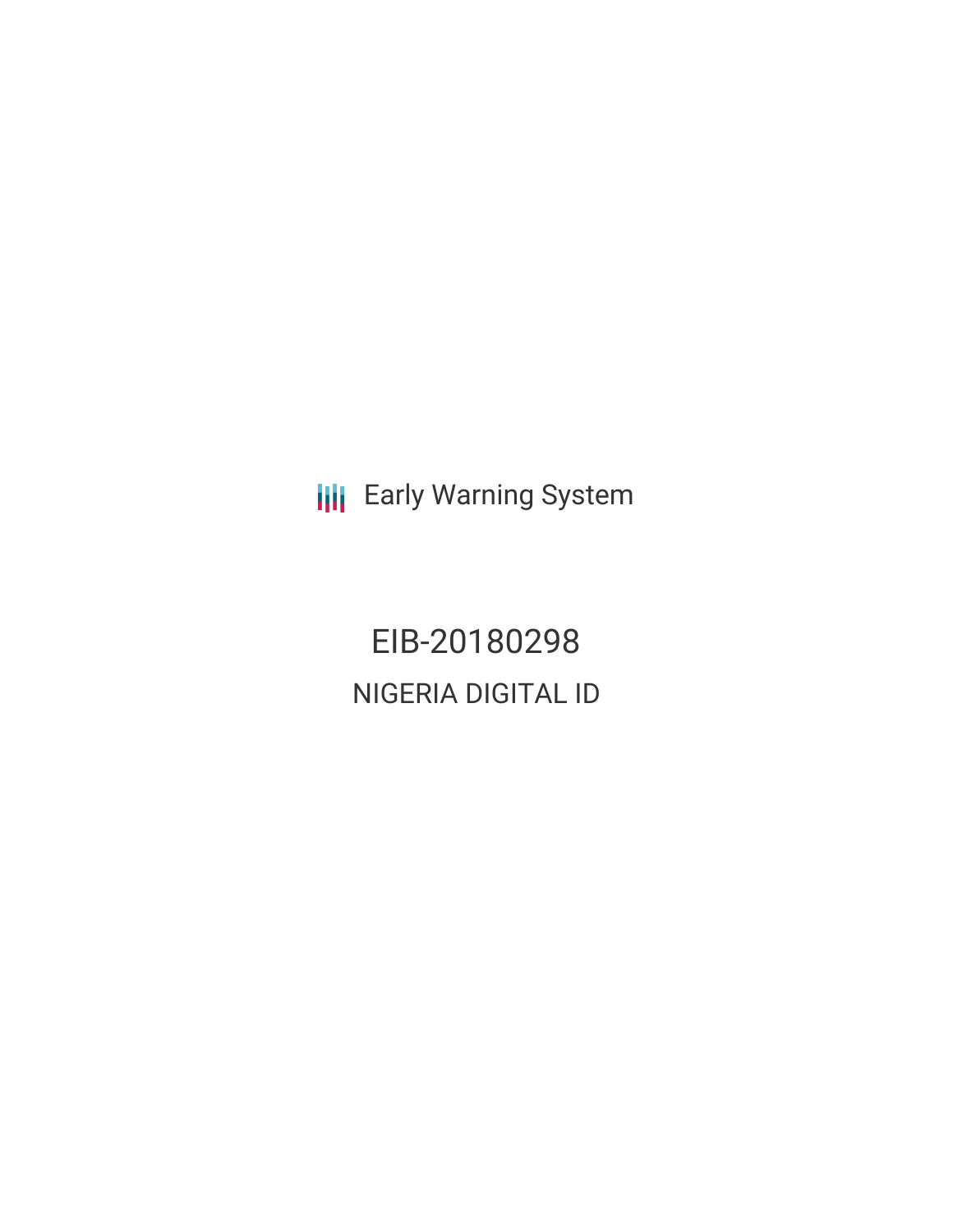**III** Early Warning System

EIB-20180298 NIGERIA DIGITAL ID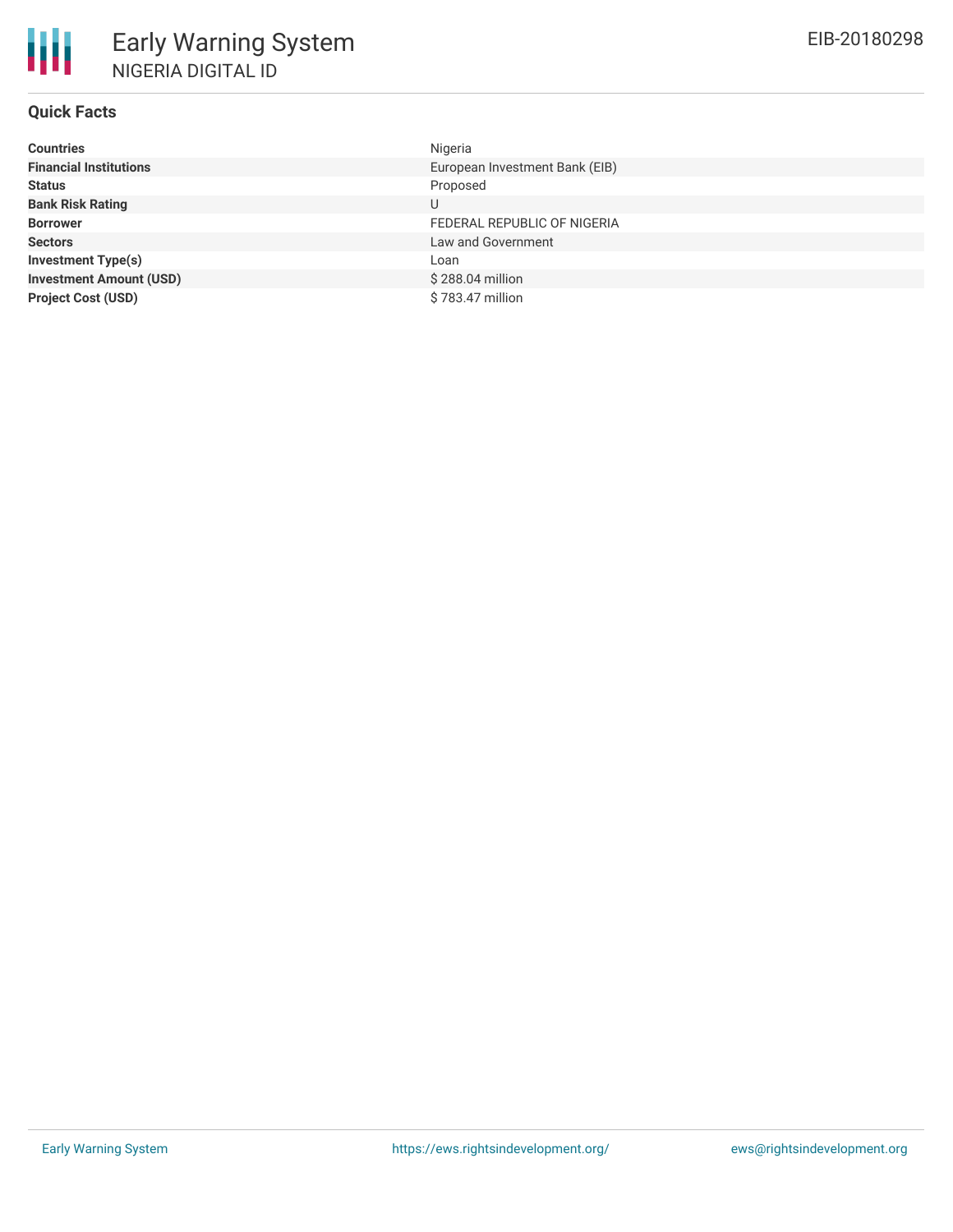# **Quick Facts**

| <b>Countries</b>               | Nigeria                        |
|--------------------------------|--------------------------------|
| <b>Financial Institutions</b>  | European Investment Bank (EIB) |
| <b>Status</b>                  | Proposed                       |
| <b>Bank Risk Rating</b>        | U                              |
| <b>Borrower</b>                | FEDERAL REPUBLIC OF NIGERIA    |
| <b>Sectors</b>                 | Law and Government             |
| <b>Investment Type(s)</b>      | Loan                           |
| <b>Investment Amount (USD)</b> | \$288.04 million               |
| <b>Project Cost (USD)</b>      | \$783.47 million               |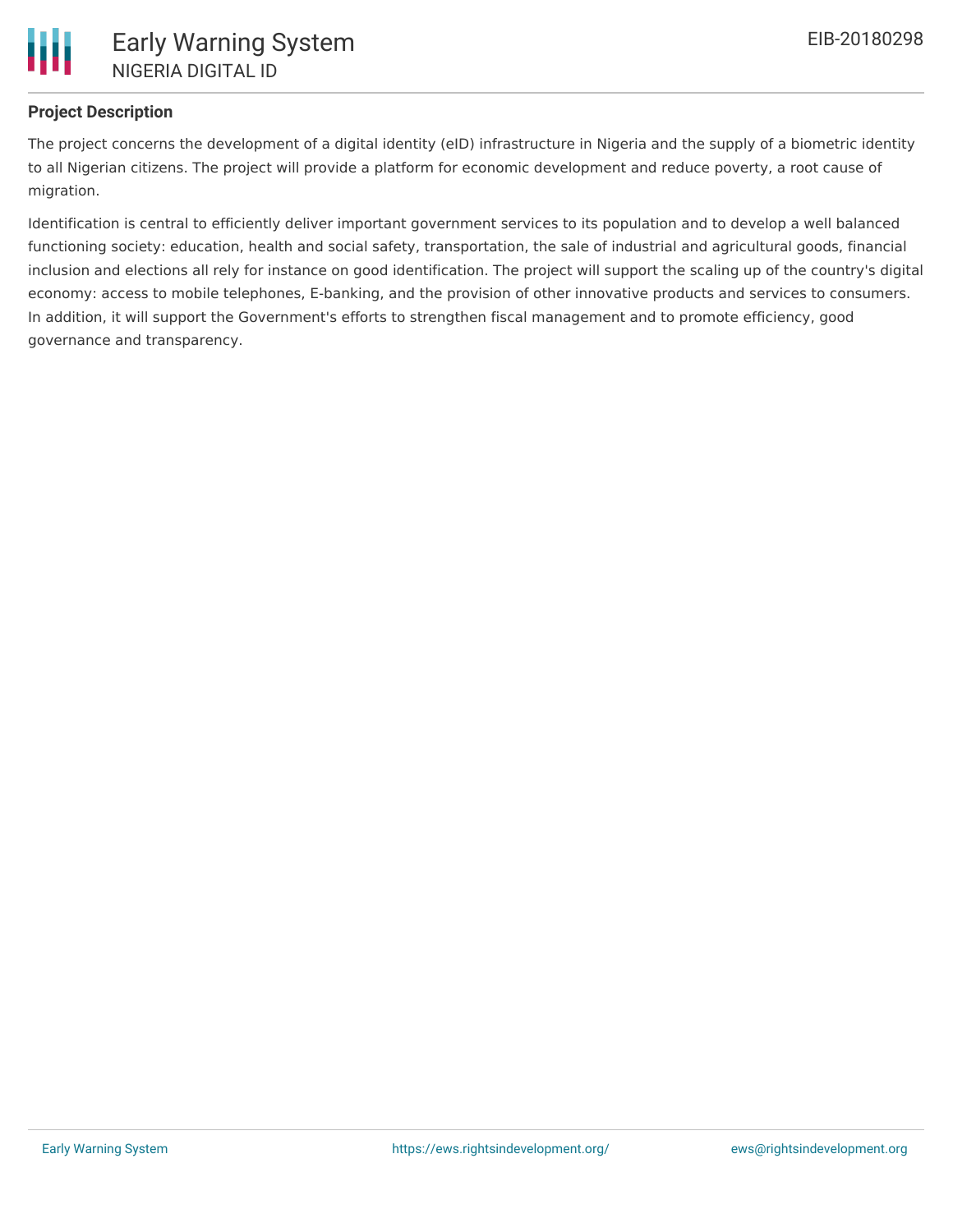

# **Project Description**

The project concerns the development of a digital identity (eID) infrastructure in Nigeria and the supply of a biometric identity to all Nigerian citizens. The project will provide a platform for economic development and reduce poverty, a root cause of migration.

Identification is central to efficiently deliver important government services to its population and to develop a well balanced functioning society: education, health and social safety, transportation, the sale of industrial and agricultural goods, financial inclusion and elections all rely for instance on good identification. The project will support the scaling up of the country's digital economy: access to mobile telephones, E-banking, and the provision of other innovative products and services to consumers. In addition, it will support the Government's efforts to strengthen fiscal management and to promote efficiency, good governance and transparency.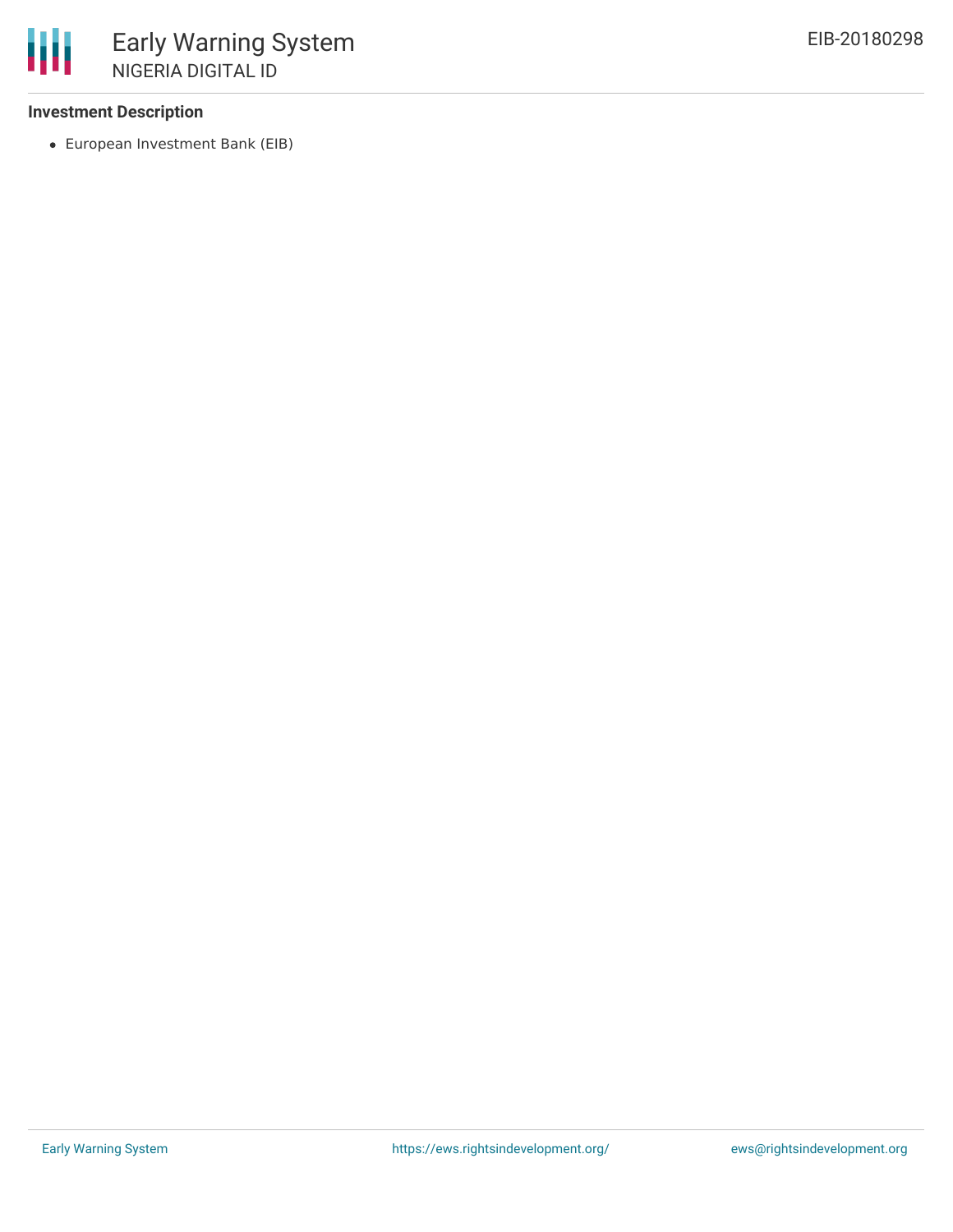## **Investment Description**

European Investment Bank (EIB)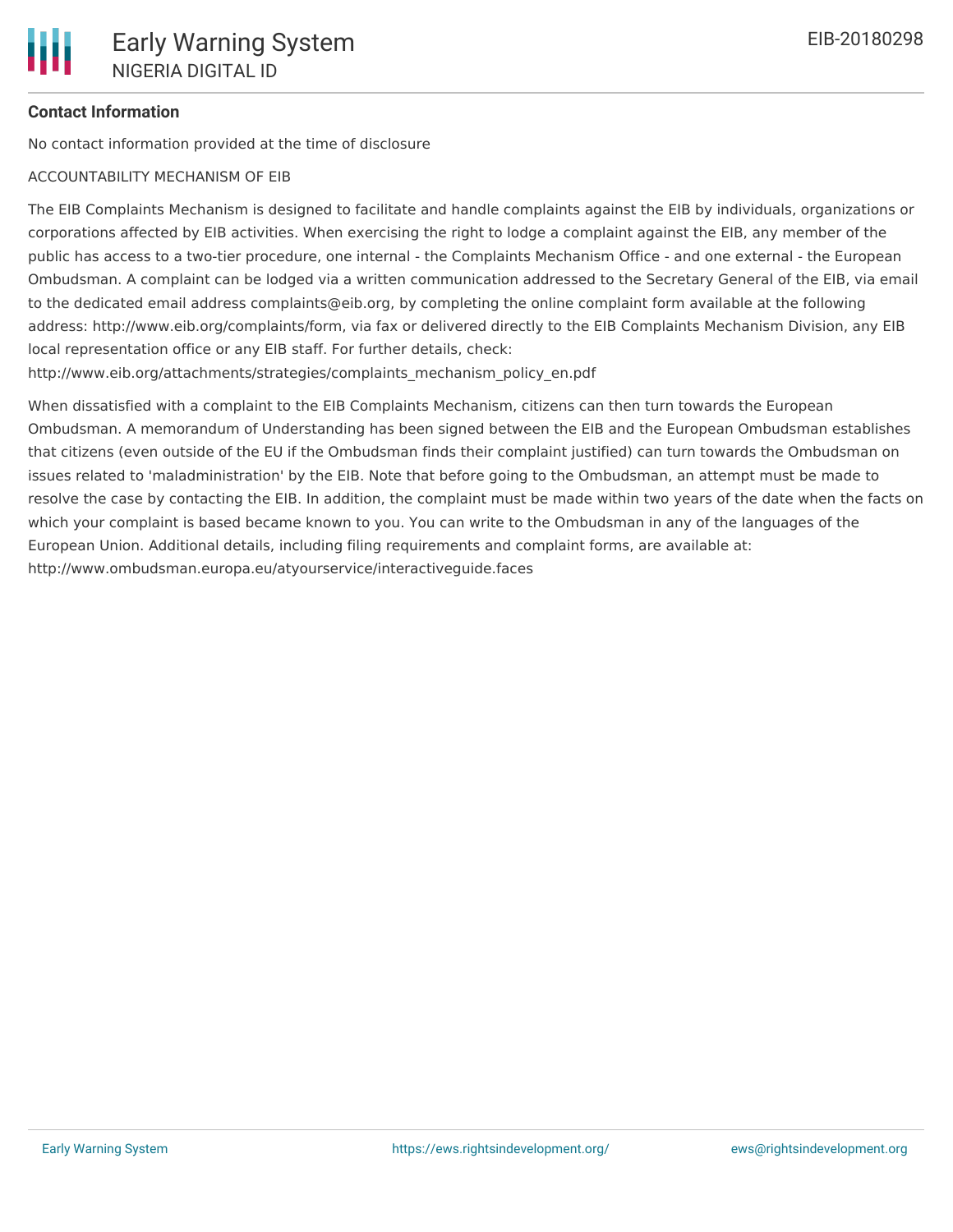## **Contact Information**

No contact information provided at the time of disclosure

#### ACCOUNTABILITY MECHANISM OF EIB

The EIB Complaints Mechanism is designed to facilitate and handle complaints against the EIB by individuals, organizations or corporations affected by EIB activities. When exercising the right to lodge a complaint against the EIB, any member of the public has access to a two-tier procedure, one internal - the Complaints Mechanism Office - and one external - the European Ombudsman. A complaint can be lodged via a written communication addressed to the Secretary General of the EIB, via email to the dedicated email address complaints@eib.org, by completing the online complaint form available at the following address: http://www.eib.org/complaints/form, via fax or delivered directly to the EIB Complaints Mechanism Division, any EIB local representation office or any EIB staff. For further details, check:

http://www.eib.org/attachments/strategies/complaints\_mechanism\_policy\_en.pdf

When dissatisfied with a complaint to the EIB Complaints Mechanism, citizens can then turn towards the European Ombudsman. A memorandum of Understanding has been signed between the EIB and the European Ombudsman establishes that citizens (even outside of the EU if the Ombudsman finds their complaint justified) can turn towards the Ombudsman on issues related to 'maladministration' by the EIB. Note that before going to the Ombudsman, an attempt must be made to resolve the case by contacting the EIB. In addition, the complaint must be made within two years of the date when the facts on which your complaint is based became known to you. You can write to the Ombudsman in any of the languages of the European Union. Additional details, including filing requirements and complaint forms, are available at: http://www.ombudsman.europa.eu/atyourservice/interactiveguide.faces